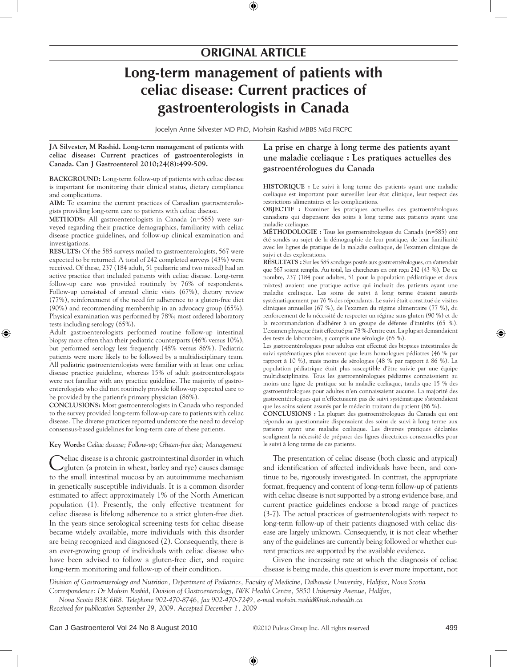# **originaL artiCLe**

# **Long-term management of patients with celiac disease: Current practices of gastroenterologists in Canada**

Jocelyn Anne Silvester MD PhD, Mohsin Rashid MBBS MEd FRCPC

**JA Silvester, M Rashid. Long-term management of patients with celiac disease: Current practices of gastroenterologists in Canada. Can J Gastroenterol 2010;24(8):499-509.**

BACKGROUND: Long-term follow-up of patients with celiac disease is important for monitoring their clinical status, dietary compliance and complications.

**AiM:** To examine the current practices of Canadian gastroenterologists providing long-term care to patients with celiac disease.

**METHODS:** All gastroenterologists in Canada (n=585) were surveyed regarding their practice demographics, familiarity with celiac disease practice guidelines, and follow-up clinical examination and investigations.

**ReSuLtS:** Of the 585 surveys mailed to gastroenterologists, 567 were expected to be returned. A total of 242 completed surveys (43%) were received. Of these, 237 (184 adult, 51 pediatric and two mixed) had an active practice that included patients with celiac disease. Long-term follow-up care was provided routinely by 76% of respondents. Follow-up consisted of annual clinic visits (67%), dietary review (77%), reinforcement of the need for adherence to a gluten-free diet (90%) and recommending membership in an advocacy group (65%). Physical examination was performed by 78%; most ordered laboratory tests including serology (65%).

Adult gastroenterologists performed routine follow-up intestinal biopsy more often than their pediatric counterparts (46% versus 10%), but performed serology less frequently (48% versus 86%). Pediatric patients were more likely to be followed by a multidisciplinary team. All pediatric gastroenterologists were familiar with at least one celiac disease practice guideline, whereas 15% of adult gastroenterologists were not familiar with any practice guideline. The majority of gastroenterologists who did not routinely provide follow-up expected care to be provided by the patient's primary physician (86%).

**ConCLuSionS:** Most gastroenterologists in Canada who responded to the survey provided long-term follow-up care to patients with celiac disease. The diverse practices reported underscore the need to develop consensus-based guidelines for long-term care of these patients.

# **key Words:** *Celiac disease; Follow-up; Gluten-free diet; Management*

Celiac disease is a chronic gastrointestinal disorder in which gluten (a protein in wheat, barley and rye) causes damage to the small intestinal mucosa by an autoimmune mechanism in genetically susceptible individuals. It is a common disorder estimated to affect approximately 1% of the North American population (1). Presently, the only effective treatment for celiac disease is lifelong adherence to a strict gluten-free diet. In the years since serological screening tests for celiac disease became widely available, more individuals with this disorder are being recognized and diagnosed (2). Consequently, there is an ever-growing group of individuals with celiac disease who have been advised to follow a gluten-free diet, and require long-term monitoring and follow-up of their condition.

**La prise en charge à long terme des patients ayant une maladie cœliaque : Les pratiques actuelles des gastroentérologues du Canada**

**hiStoRiQue :** Le suivi à long terme des patients ayant une maladie cœliaque est important pour surveiller leur état clinique, leur respect des restrictions alimentaires et les complications.

**oBJeCtiF :** Examiner les pratiques actuelles des gastroentérologues canadiens qui dispensent des soins à long terme aux patients ayant une maladie cœliaque.

**MÉthodoLoGie :** Tous les gastroentérologues du Canada (n=585) ont été sondés au sujet de la démographie de leur pratique, de leur familiarité avec les lignes de pratique de la maladie cœliaque, de l'examen clinique de suivi et des explorations.

**RÉSuLtAtS :** Sur les 585 sondages postés aux gastroentérologues, on s'attendait que 567 soient remplis. Au total, les chercheurs en ont reçu 242 (43 %). De ce nombre, 237 (184 pour adultes, 51 pour la population pédiatrique et deux mixtes) avaient une pratique active qui incluait des patients ayant une maladie cœliaque. Les soins de suivi à long terme étaient assurés systématiquement par 76 % des répondants. Le suivi était constitué de visites cliniques annuelles (67 %), de l'examen du régime alimentaire (77 %), du renforcement de la nécessité de respecter un régime sans gluten (90 %) et de la recommandation d'adhérer à un groupe de défense d'intérêts (65 %). L'examen physique était effectué par 78 % d'entre eux. La plupart demandaient des tests de laboratoire, y compris une sérologie (65 %).

Les gastroentérologues pour adultes ont effectué des biopsies intestinales de suivi systématiques plus souvent que leurs homologues pédiatres (46 % par rapport à 10 %), mais moins de sérologies (48 % par rapport à 86 %). La population pédiatrique était plus susceptible d'être suivie par une équipe multidisciplinaire. Tous les gastroentérologues pédiatres connaissaient au moins une ligne de pratique sur la maladie cœliaque, tandis que 15 % des gastroentérologues pour adultes n'en connaissaient aucune. La majorité des gastroentérologues qui n'effectuaient pas de suivi systématique s'attendaient que les soins soient assurés par le médecin traitant du patient (86 %).

**ConCLuSionS :** La plupart des gastroentérologues du Canada qui ont répondu au questionnaire dispensaient des soins de suivi à long terme aux patients ayant une maladie cœliaque. Les diverses pratiques déclarées soulignent la nécessité de préparer des lignes directrices consensuelles pour le suivi à long terme de ces patients.

The presentation of celiac disease (both classic and atypical) and identification of affected individuals have been, and continue to be, rigorously investigated. In contrast, the appropriate format, frequency and content of long-term follow-up of patients with celiac disease is not supported by a strong evidence base, and current practice guidelines endorse a broad range of practices (3-7). The actual practices of gastroenterologists with respect to long-term follow-up of their patients diagnosed with celiac disease are largely unknown. Consequently, it is not clear whether any of the guidelines are currently being followed or whether current practices are supported by the available evidence.

Given the increasing rate at which the diagnosis of celiac disease is being made, this question is ever more important, not

*Division of Gastroenterology and Nutrition, Department of Pediatrics, Faculty of Medicine, Dalhousie University, Halifax, Nova Scotia Correspondence: Dr Mohsin Rashid, Division of Gastroenterology, IWK Health Centre, 5850 University Avenue, Halifax,* 

*Nova Scotia B3K 6R8. Telephone 902-470-8746, fax 902-470-7249, e-mail mohsin.rashid@iwk.nshealth.ca Received for publication September 29, 2009. Accepted December 1, 2009*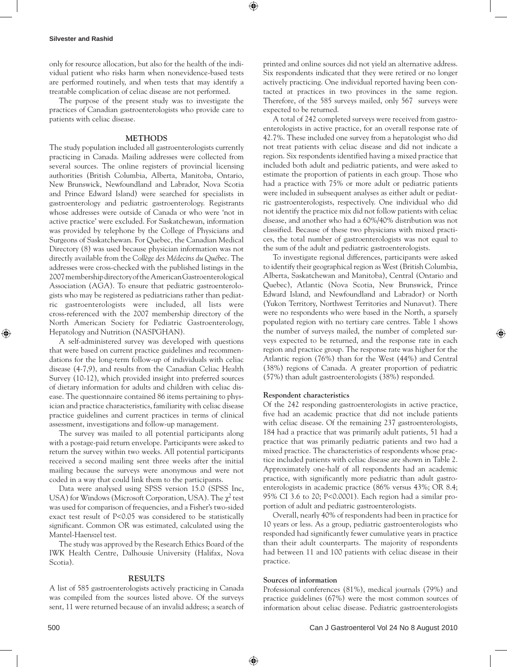only for resource allocation, but also for the health of the individual patient who risks harm when nonevidence-based tests are performed routinely, and when tests that may identify a treatable complication of celiac disease are not performed.

The purpose of the present study was to investigate the practices of Canadian gastroenterologists who provide care to patients with celiac disease.

# **MethodS**

The study population included all gastroenterologists currently practicing in Canada. Mailing addresses were collected from several sources. The online registers of provincial licensing authorities (British Columbia, Alberta, Manitoba, Ontario, New Brunswick, Newfoundland and Labrador, Nova Scotia and Prince Edward Island) were searched for specialists in gastroenterology and pediatric gastroenterology. Registrants whose addresses were outside of Canada or who were 'not in active practice' were excluded. For Saskatchewan, information was provided by telephone by the College of Physicians and Surgeons of Saskatchewan. For Quebec, the Canadian Medical Directory (8) was used because physician information was not directly available from the *Collège des Médecins du Québec*. The addresses were cross-checked with the published listings in the 2007 membership directory of the American Gastroenterological Association (AGA). To ensure that pediatric gastroenterologists who may be registered as pediatricians rather than pediatric gastroenterologists were included, all lists were cross-referenced with the 2007 membership directory of the North American Society for Pediatric Gastroenterology, Hepatology and Nutrition (NASPGHAN).

A self-administered survey was developed with questions that were based on current practice guidelines and recommendations for the long-term follow-up of individuals with celiac disease (4-7,9), and results from the Canadian Celiac Health Survey (10-12), which provided insight into preferred sources of dietary information for adults and children with celiac disease. The questionnaire contained 86 items pertaining to physician and practice characteristics, familiarity with celiac disease practice guidelines and current practices in terms of clinical assessment, investigations and follow-up management.

The survey was mailed to all potential participants along with a postage-paid return envelope. Participants were asked to return the survey within two weeks. All potential participants received a second mailing sent three weeks after the initial mailing because the surveys were anonymous and were not coded in a way that could link them to the participants.

Data were analysed using SPSS version 15.0 (SPSS Inc, USA) for Windows (Microsoft Corporation, USA). The  $\chi^2$  test was used for comparison of frequencies, and a Fisher's two-sided exact test result of P<0.05 was considered to be statistically significant. Common OR was estimated, calculated using the Mantel-Haenszel test.

The study was approved by the Research Ethics Board of the IWK Health Centre, Dalhousie University (Halifax, Nova Scotia).

# **ReSuLtS**

A list of 585 gastroenterologists actively practicing in Canada was compiled from the sources listed above. Of the surveys sent, 11 were returned because of an invalid address; a search of printed and online sources did not yield an alternative address. Six respondents indicated that they were retired or no longer actively practicing. One individual reported having been contacted at practices in two provinces in the same region. Therefore, of the 585 surveys mailed, only 567 surveys were expected to be returned.

A total of 242 completed surveys were received from gastroenterologists in active practice, for an overall response rate of 42.7%. These included one survey from a hepatologist who did not treat patients with celiac disease and did not indicate a region. Six respondents identified having a mixed practice that included both adult and pediatric patients, and were asked to estimate the proportion of patients in each group. Those who had a practice with 75% or more adult or pediatric patients were included in subsequent analyses as either adult or pediatric gastroenterologists, respectively. One individual who did not identify the practice mix did not follow patients with celiac disease, and another who had a 60%/40% distribution was not classified. Because of these two physicians with mixed practices, the total number of gastroenterologists was not equal to the sum of the adult and pediatric gastroenterologists.

To investigate regional differences, participants were asked to identify their geographical region as West (British Columbia, Alberta, Saskatchewan and Manitoba), Central (Ontario and Quebec), Atlantic (Nova Scotia, New Brunswick, Prince Edward Island, and Newfoundland and Labrador) or North (Yukon Territory, Northwest Territories and Nunavut). There were no respondents who were based in the North, a sparsely populated region with no tertiary care centres. Table 1 shows the number of surveys mailed, the number of completed surveys expected to be returned, and the response rate in each region and practice group. The response rate was higher for the Atlantic region (76%) than for the West (44%) and Central (38%) regions of Canada. A greater proportion of pediatric (57%) than adult gastroenterologists (38%) responded.

# **Respondent characteristics**

Of the 242 responding gastroenterologists in active practice, five had an academic practice that did not include patients with celiac disease. Of the remaining 237 gastroenterologists, 184 had a practice that was primarily adult patients, 51 had a practice that was primarily pediatric patients and two had a mixed practice. The characteristics of respondents whose practice included patients with celiac disease are shown in Table 2. Approximately one-half of all respondents had an academic practice, with significantly more pediatric than adult gastroenterologists in academic practice (86% versus 43%; OR 8.4; 95% CI 3.6 to 20; P<0.0001). Each region had a similar proportion of adult and pediatric gastroenterologists.

Overall, nearly 40% of respondents had been in practice for 10 years or less. As a group, pediatric gastroenterologists who responded had significantly fewer cumulative years in practice than their adult counterparts. The majority of respondents had between 11 and 100 patients with celiac disease in their practice.

# **Sources of information**

Professional conferences (81%), medical journals (79%) and practice guidelines (67%) were the most common sources of information about celiac disease. Pediatric gastroenterologists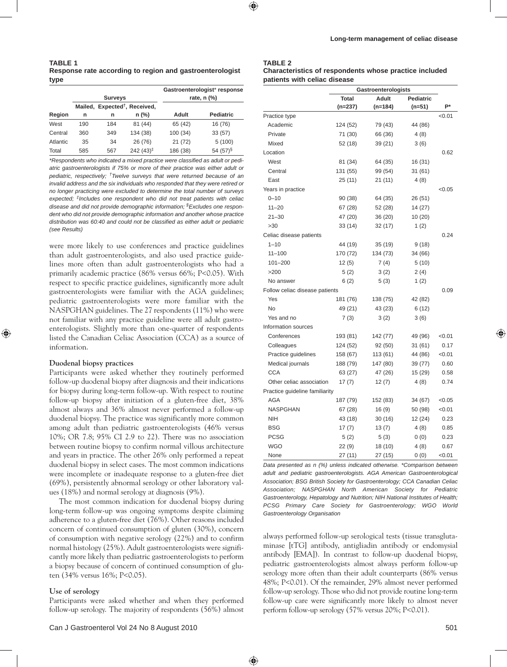|          |     | <b>Surveys</b> |                                           | Gastroenterologist* response<br>rate, $n$ $\left(\% \right)$ |                  |  |  |  |
|----------|-----|----------------|-------------------------------------------|--------------------------------------------------------------|------------------|--|--|--|
|          |     |                | Mailed, Expected <sup>†</sup> , Received, |                                                              |                  |  |  |  |
| Region   | n   | n              | $n$ (%)                                   | Adult                                                        | <b>Pediatric</b> |  |  |  |
| West     | 190 | 184            | 81 (44)                                   | 65 (42)                                                      | 16 (76)          |  |  |  |
| Central  | 360 | 349            | 134 (38)                                  | 100(34)                                                      | 33(57)           |  |  |  |
| Atlantic | 35  | 34             | 26 (76)                                   | 21(72)                                                       | 5(100)           |  |  |  |
| Total    | 585 | 567            | $242(43)^{\ddagger}$                      | 186 (38)                                                     | 54 $(57)^{\S}$   |  |  |  |

*\*Respondents who indicated a mixed practice were classified as adult or pediatric gastroenterologists if 75% or more of their practice was either adult or pediatric, respectively; †Twelve surveys that were returned because of an invalid address and the six individuals who responded that they were retired or no longer practicing were excluded to determine the total number of surveys expected; ‡Includes one respondent who did not treat patients with celiac disease and did not provide demographic information; §Excludes one respondent who did not provide demographic information and another whose practice distribution was 60:40 and could not be classified as either adult or pediatric (see Results)*

were more likely to use conferences and practice guidelines than adult gastroenterologists, and also used practice guidelines more often than adult gastroenterologists who had a primarily academic practice (86% versus 66%; P<0.05). With respect to specific practice guidelines, significantly more adult gastroenterologists were familiar with the AGA guidelines; pediatric gastroenterologists were more familiar with the NASPGHAN guidelines. The 27 respondents (11%) who were not familiar with any practice guideline were all adult gastroenterologists. Slightly more than one-quarter of respondents listed the Canadian Celiac Association (CCA) as a source of information.

#### **duodenal biopsy practices**

Participants were asked whether they routinely performed follow-up duodenal biopsy after diagnosis and their indications for biopsy during long-term follow-up. With respect to routine follow-up biopsy after initiation of a gluten-free diet, 38% almost always and 36% almost never performed a follow-up duodenal biopsy. The practice was significantly more common among adult than pediatric gastroenterologists (46% versus 10%; OR 7.8; 95% CI 2.9 to 22). There was no association between routine biopsy to confirm normal villous architecture and years in practice. The other 26% only performed a repeat duodenal biopsy in select cases. The most common indications were incomplete or inadequate response to a gluten-free diet (69%), persistently abnormal serology or other laboratory values (18%) and normal serology at diagnosis (9%).

The most common indication for duodenal biopsy during long-term follow-up was ongoing symptoms despite claiming adherence to a gluten-free diet (76%). Other reasons included concern of continued consumption of gluten (30%), concern of consumption with negative serology (22%) and to confirm normal histology (25%). Adult gastroenterologists were significantly more likely than pediatric gastroenterologists to perform a biopsy because of concern of continued consumption of gluten (34% versus 16%; P<0.05).

#### **use of serology**

Participants were asked whether and when they performed follow-up serology. The majority of respondents (56%) almost

# **TABLE 2**

| Characteristics of respondents whose practice included |
|--------------------------------------------------------|
| patients with celiac disease                           |

|                                |              | Gastroenterologists |                  |        |
|--------------------------------|--------------|---------------------|------------------|--------|
|                                | <b>Total</b> | Adult               | <b>Pediatric</b> |        |
|                                | (n=237)      | (n=184)             | (n=51)           | P*     |
| Practice type                  |              |                     |                  | < 0.01 |
| Academic                       | 124 (52)     | 79 (43)             | 44 (86)          |        |
| Private                        | 71 (30)      | 66 (36)             | 4 (8)            |        |
| Mixed                          | 52 (18)      | 39 (21)             | 3(6)             |        |
| Location                       |              |                     |                  | 0.62   |
| West                           | 81 (34)      | 64 (35)             | 16 (31)          |        |
| Central                        | 131 (55)     | 99 (54)             | 31 (61)          |        |
| East                           | 25(11)       | 21(11)              | 4(8)             |        |
| Years in practice              |              |                     |                  | < 0.05 |
| $0 - 10$                       | 90(38)       | 64 (35)             | 26 (51)          |        |
| $11 - 20$                      | 67 (28)      | 52 (28)             | 14 (27)          |        |
| $21 - 30$                      | 47 (20)      | 36 (20)             | 10(20)           |        |
| >30                            | 33(14)       | 32(17)              | 1(2)             |        |
| Celiac disease patients        |              |                     |                  | 0.24   |
| $1 - 10$                       | 44 (19)      | 35 (19)             | 9(18)            |        |
| $11 - 100$                     | 170 (72)     | 134 (73)            | 34 (66)          |        |
| $101 - 200$                    | 12(5)        | 7 (4)               | 5 (10)           |        |
| >200                           | 5(2)         | 3(2)                | 2(4)             |        |
| No answer                      | 6(2)         | 5(3)                | 1(2)             |        |
| Follow celiac disease patients |              |                     |                  | 0.09   |
| Yes                            | 181 (76)     | 138 (75)            | 42 (82)          |        |
| <b>No</b>                      | 49 (21)      | 43 (23)             | 6 (12)           |        |
| Yes and no                     | 7(3)         | 3(2)                | 3(6)             |        |
| Information sources            |              |                     |                  |        |
| Conferences                    | 193 (81)     | 142 (77)            | 49 (96)          | 0.01   |
| Colleagues                     | 124 (52)     | 92 (50)             | 31 (61)          | 0.17   |
| Practice guidelines            | 158 (67)     | 113 (61)            | 44 (86)          | < 0.01 |
| Medical journals               | 188 (79)     | 147 (80)            | 39 (77)          | 0.60   |
| <b>CCA</b>                     | 63 (27)      | 47 (26)             | 15(29)           | 0.58   |
| Other celiac association       | 17(7)        | 12(7)               | 4(8)             | 0.74   |
| Practice guideline familiarity |              |                     |                  |        |
| <b>AGA</b>                     | 187 (79)     | 152 (83)            | 34 (67)          | <0.05  |
| <b>NASPGHAN</b>                | 67 (28)      | 16(9)               | 50 (98)          | 0.01   |
| <b>NIH</b>                     | 43 (18)      | 30 (16)             | 12 (24)          | 0.23   |
| <b>BSG</b>                     | 17(7)        | 13 (7)              | 4(8)             | 0.85   |
| <b>PCSG</b>                    | 5(2)         | 5(3)                | 0(0)             | 0.23   |
| <b>WGO</b>                     | 22(9)        | 18 (10)             | 4(8)             | 0.67   |
| None                           | 27 (11)      | 27 (15)             | 0(0)             | < 0.01 |

*Data presented as n (%) unless indicated otherwise. \*Comparison between adult and pediatric gastroenterologists. AGA American Gastroenterological Association; BSG British Society for Gastroenterology; CCA Canadian Celiac Association; NASPGHAN North American Society for Pediatric Gastroenterology, Hepatology and Nutrition; NIH National Institutes of Health; PCSG Primary Care Society for Gastroenterology; WGO World Gastroenterology Organisation*

always performed follow-up serological tests (tissue transglutaminase [tTG] antibody, antigliadin antibody or endomysial antibody [EMA]). In contrast to follow-up duodenal biopsy, pediatric gastroenterologists almost always perform follow-up serology more often than their adult counterparts (86% versus 48%; P<0.01). Of the remainder, 29% almost never performed follow-up serology. Those who did not provide routine long-term follow-up care were significantly more likely to almost never perform follow-up serology (57% versus 20%; P<0.01).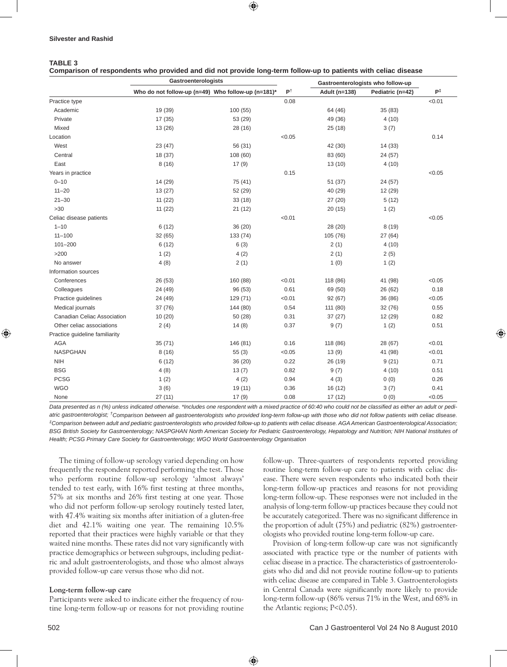# **TABLE 3**

**Comparison of respondents who provided and did not provide long-term follow-up to patients with celiac disease**

|                                | Gastroenterologists                                |          |               | Gastroenterologists who follow-up |                  |        |
|--------------------------------|----------------------------------------------------|----------|---------------|-----------------------------------|------------------|--------|
|                                | Who do not follow-up (n=49) Who follow-up (n=181)* |          | $P^{\dagger}$ | Adult (n=138)                     | Pediatric (n=42) | P‡     |
| Practice type                  |                                                    |          | 0.08          |                                   |                  | < 0.01 |
| Academic                       | 19 (39)                                            | 100(55)  |               | 64 (46)                           | 35 (83)          |        |
| Private                        | 17(35)                                             | 53 (29)  |               | 49 (36)                           | 4(10)            |        |
| Mixed                          | 13(26)                                             | 28 (16)  |               | 25(18)                            | 3(7)             |        |
| Location                       |                                                    |          | < 0.05        |                                   |                  | 0.14   |
| West                           | 23 (47)                                            | 56 (31)  |               | 42 (30)                           | 14 (33)          |        |
| Central                        | 18 (37)                                            | 108(60)  |               | 83 (60)                           | 24 (57)          |        |
| East                           | 8(16)                                              | 17(9)    |               | 13(10)                            | 4(10)            |        |
| Years in practice              |                                                    |          | 0.15          |                                   |                  | < 0.05 |
| $0 - 10$                       | 14 (29)                                            | 75 (41)  |               | 51 (37)                           | 24 (57)          |        |
| $11 - 20$                      | 13(27)                                             | 52 (29)  |               | 40 (29)                           | 12 (29)          |        |
| $21 - 30$                      | 11(22)                                             | 33(18)   |               | 27 (20)                           | 5(12)            |        |
| >30                            | 11(22)                                             | 21(12)   |               | 20(15)                            | 1(2)             |        |
| Celiac disease patients        |                                                    |          | < 0.01        |                                   |                  | < 0.05 |
| $1 - 10$                       | 6(12)                                              | 36(20)   |               | 28 (20)                           | 8(19)            |        |
| $11 - 100$                     | 32(65)                                             | 133 (74) |               | 105 (76)                          | 27(64)           |        |
| $101 - 200$                    | 6(12)                                              | 6(3)     |               | 2(1)                              | 4(10)            |        |
| $>200$                         | 1(2)                                               | 4(2)     |               | 2(1)                              | 2(5)             |        |
| No answer                      | 4(8)                                               | 2(1)     |               | 1(0)                              | 1(2)             |        |
| Information sources            |                                                    |          |               |                                   |                  |        |
| Conferences                    | 26 (53)                                            | 160 (88) | < 0.01        | 118 (86)                          | 41 (98)          | < 0.05 |
| Colleagues                     | 24 (49)                                            | 96 (53)  | 0.61          | 69 (50)                           | 26 (62)          | 0.18   |
| Practice guidelines            | 24 (49)                                            | 129 (71) | < 0.01        | 92(67)                            | 36 (86)          | < 0.05 |
| Medical journals               | 37 (76)                                            | 144 (80) | 0.54          | 111 (80)                          | 32(76)           | 0.55   |
| Canadian Celiac Association    | 10(20)                                             | 50 (28)  | 0.31          | 37(27)                            | 12 (29)          | 0.82   |
| Other celiac associations      | 2(4)                                               | 14(8)    | 0.37          | 9(7)                              | 1(2)             | 0.51   |
| Practice guideline familiarity |                                                    |          |               |                                   |                  |        |
| <b>AGA</b>                     | 35(71)                                             | 146 (81) | 0.16          | 118 (86)                          | 28 (67)          | < 0.01 |
| <b>NASPGHAN</b>                | 8(16)                                              | 55(3)    | < 0.05        | 13(9)                             | 41 (98)          | < 0.01 |
| <b>NIH</b>                     | 6(12)                                              | 36 (20)  | 0.22          | 26 (19)                           | 9(21)            | 0.71   |
| <b>BSG</b>                     | 4(8)                                               | 13(7)    | 0.82          | 9(7)                              | 4(10)            | 0.51   |
| <b>PCSG</b>                    | 1(2)                                               | 4(2)     | 0.94          | 4(3)                              | 0(0)             | 0.26   |
| <b>WGO</b>                     | 3(6)                                               | 19(11)   | 0.36          | 16(12)                            | 3(7)             | 0.41   |
| None                           | 27(11)                                             | 17(9)    | 0.08          | 17(12)                            | 0(0)             | < 0.05 |

*Data presented as n (%) unless indicated otherwise. \*Includes one respondent with a mixed practice of 60:40 who could not be classified as either an adult or pediatric gastroenterologist; †Comparison between all gastroenterologists who provided long-term follow-up with those who did not follow patients with celiac disease. ‡Comparison between adult and pediatric gastroenterologists who provided follow-up to patients with celiac disease. AGA American Gastroenterological Association;*  BSG British Society for Gastroenterology; NASPGHAN North American Society for Pediatric Gastroenterology, Hepatology and Nutrition; NIH National Institutes of *Health; PCSG Primary Care Society for Gastroenterology; WGO World Gastroenterology Organisation*

The timing of follow-up serology varied depending on how frequently the respondent reported performing the test. Those who perform routine follow-up serology 'almost always' tended to test early, with 16% first testing at three months, 57% at six months and 26% first testing at one year. Those who did not perform follow-up serology routinely tested later, with 47.4% waiting six months after initiation of a gluten-free diet and 42.1% waiting one year. The remaining 10.5% reported that their practices were highly variable or that they waited nine months. These rates did not vary significantly with practice demographics or between subgroups, including pediatric and adult gastroenterologists, and those who almost always provided follow-up care versus those who did not.

#### **Long-term follow-up care**

Participants were asked to indicate either the frequency of routine long-term follow-up or reasons for not providing routine follow-up. Three-quarters of respondents reported providing routine long-term follow-up care to patients with celiac disease. There were seven respondents who indicated both their long-term follow-up practices and reasons for not providing long-term follow-up. These responses were not included in the analysis of long-term follow-up practices because they could not be accurately categorized. There was no significant difference in the proportion of adult (75%) and pediatric (82%) gastroenterologists who provided routine long-term follow-up care.

Provision of long-term follow-up care was not significantly associated with practice type or the number of patients with celiac disease in a practice. The characteristics of gastroenterologists who did and did not provide routine follow-up to patients with celiac disease are compared in Table 3. Gastroenterologists in Central Canada were significantly more likely to provide long-term follow-up (86% versus 71% in the West, and 68% in the Atlantic regions; P<0.05).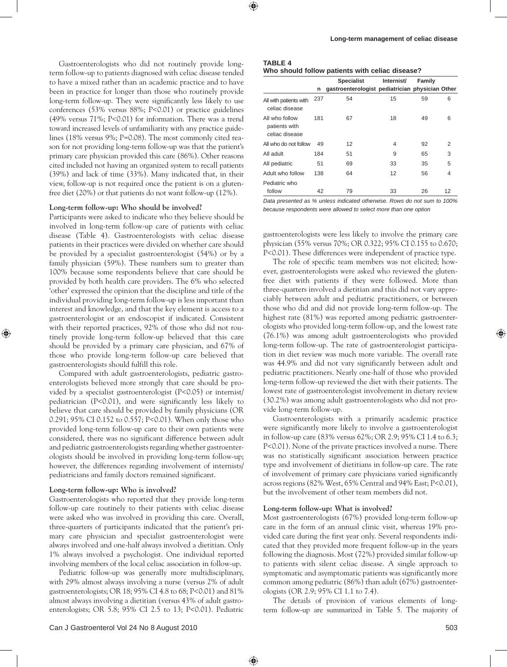Gastroenterologists who did not routinely provide longterm follow-up to patients diagnosed with celiac disease tended to have a mixed rather than an academic practice and to have been in practice for longer than those who routinely provide long-term follow-up. They were significantly less likely to use conferences (53% versus 88%; P<0.01) or practice guidelines (49% versus 71%; P<0.01) for information. There was a trend toward increased levels of unfamiliarity with any practice guidelines (18% versus 9%; P=0.08). The most commonly cited reason for not providing long-term follow-up was that the patient's primary care physician provided this care (86%). Other reasons cited included not having an organized system to recall patients (39%) and lack of time (33%). Many indicated that, in their view, follow-up is not required once the patient is on a glutenfree diet (20%) or that patients do not want follow-up (12%).

#### **Long-term follow-up: Who should be involved?**

Participants were asked to indicate who they believe should be involved in long-term follow-up care of patients with celiac disease (Table 4). Gastroenterologists with celiac disease patients in their practices were divided on whether care should be provided by a specialist gastroenterologist (54%) or by a family physician (59%). These numbers sum to greater than 100% because some respondents believe that care should be provided by both health care providers. The 6% who selected 'other' expressed the opinion that the discipline and title of the individual providing long-term follow-up is less important than interest and knowledge, and that the key element is access to a gastroenterologist or an endoscopist if indicated. Consistent with their reported practices, 92% of those who did not routinely provide long-term follow-up believed that this care should be provided by a primary care physician, and 67% of those who provide long-term follow-up care believed that gastroenterologists should fulfill this role.

Compared with adult gastroenterologists, pediatric gastroenterologists believed more strongly that care should be provided by a specialist gastroenterologist (P<0.05) or internist/ pediatrician (P<0.01), and were significantly less likely to believe that care should be provided by family physicians (OR 0.291; 95% CI 0.152 to 0.557; P<0.01). When only those who provided long-term follow-up care to their own patients were considered, there was no significant difference between adult and pediatric gastroenterologists regarding whether gastroenterologists should be involved in providing long-term follow-up; however, the differences regarding involvement of internists/ pediatricians and family doctors remained significant.

#### **Long-term follow-up: Who is involved?**

Gastroenterologists who reported that they provide long-term follow-up care routinely to their patients with celiac disease were asked who was involved in providing this care. Overall, three-quarters of participants indicated that the patient's primary care physician and specialist gastroenterologist were always involved and one-half always involved a dietitian. Only 1% always involved a psychologist. One individual reported involving members of the local celiac association in follow-up.

Pediatric follow-up was generally more multidisciplinary, with 29% almost always involving a nurse (versus 2% of adult gastroenterologists; OR 18; 95% CI 4.8 to 68; P<0.01) and 81% almost always involving a dietitian (versus 43% of adult gastroenterologists; OR 5.8; 95% CI 2.5 to 13; P<0.01). Pediatric

| TABLE 4 |                      |  |
|---------|----------------------|--|
|         | Who should follow na |  |

| Who should follow patients with celiac disease? |  |  |  |  |  |
|-------------------------------------------------|--|--|--|--|--|
|-------------------------------------------------|--|--|--|--|--|

|                                                   |     | <b>Specialist</b>                               | Internist/ | Family |    |
|---------------------------------------------------|-----|-------------------------------------------------|------------|--------|----|
|                                                   | n   | gastroenterologist pediatrician physician Other |            |        |    |
| All with patients with<br>celiac disease          | 237 | 54                                              | 15         | 59     | 6  |
| All who follow<br>patients with<br>celiac disease | 181 | 67                                              | 18         | 49     | 6  |
| All who do not follow                             | 49  | 12                                              | 4          | 92     | 2  |
| All adult                                         | 184 | 51                                              | 9          | 65     | 3  |
| All pediatric                                     | 51  | 69                                              | 33         | 35     | 5  |
| Adult who follow                                  | 138 | 64                                              | 12         | 56     | 4  |
| Pediatric who<br>follow                           | 42  | 79                                              | 33         | 26     | 12 |

*Data presented as % unless indicated otherwise. Rows do not sum to 100% because respondents were allowed to select more than one option*

gastroenterologists were less likely to involve the primary care physician (55% versus 70%; OR 0.322; 95% CI 0.155 to 0.670; P<0.01). These differences were independent of practice type.

The role of specific team members was not elicited; however, gastroenterologists were asked who reviewed the glutenfree diet with patients if they were followed. More than three-quarters involved a dietitian and this did not vary appreciably between adult and pediatric practitioners, or between those who did and did not provide long-term follow-up. The highest rate (81%) was reported among pediatric gastroenterologists who provided long-term follow-up, and the lowest rate (76.1%) was among adult gastroenterologists who provided long-term follow-up. The rate of gastroenterologist participation in diet review was much more variable. The overall rate was 44.9% and did not vary significantly between adult and pediatric practitioners. Nearly one-half of those who provided long-term follow-up reviewed the diet with their patients. The lowest rate of gastroenterologist involvement in dietary review (30.2%) was among adult gastroenterologists who did not provide long-term follow-up.

Gastroenterologists with a primarily academic practice were significantly more likely to involve a gastroenterologist in follow-up care (83% versus 62%; OR 2.9; 95% CI 1.4 to 6.3; P<0.01). None of the private practices involved a nurse. There was no statistically significant association between practice type and involvement of dietitians in follow-up care. The rate of involvement of primary care physicians varied significantly across regions (82% West, 65% Central and 94% East; P<0.01), but the involvement of other team members did not.

### **Long-term follow-up: What is involved?**

Most gastroenterologists (67%) provided long-term follow-up care in the form of an annual clinic visit, whereas 19% provided care during the first year only. Several respondents indicated that they provided more frequent follow-up in the years following the diagnosis. Most (72%) provided similar follow-up to patients with silent celiac disease. A single approach to symptomatic and asymptomatic patients was significantly more common among pediatric (86%) than adult (67%) gastroenterologists (OR 2.9; 95% CI 1.1 to 7.4).

The details of provision of various elements of longterm follow-up are summarized in Table 5. The majority of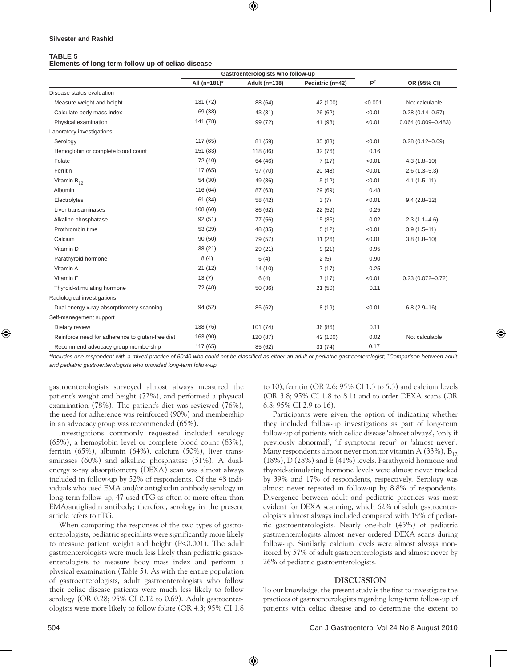#### **Silvester and Rashid**

#### **TABLE 5**

#### **Elements of long-term follow-up of celiac disease**

|                                                  |              | Gastroenterologists who follow-up |                  |               |                        |
|--------------------------------------------------|--------------|-----------------------------------|------------------|---------------|------------------------|
|                                                  | All (n=181)* | Adult (n=138)                     | Pediatric (n=42) | $P^{\dagger}$ | OR (95% CI)            |
| Disease status evaluation                        |              |                                   |                  |               |                        |
| Measure weight and height                        | 131 (72)     | 88 (64)                           | 42 (100)         | < 0.001       | Not calculable         |
| Calculate body mass index                        | 69 (38)      | 43 (31)                           | 26 (62)          | < 0.01        | $0.28(0.14 - 0.57)$    |
| Physical examination                             | 141 (78)     | 99 (72)                           | 41 (98)          | < 0.01        | $0.064(0.009 - 0.483)$ |
| Laboratory investigations                        |              |                                   |                  |               |                        |
| Serology                                         | 117(65)      | 81 (59)                           | 35 (83)          | < 0.01        | $0.28(0.12 - 0.69)$    |
| Hemoglobin or complete blood count               | 151 (83)     | 118 (86)                          | 32 (76)          | 0.16          |                        |
| Folate                                           | 72 (40)      | 64 (46)                           | 7(17)            | < 0.01        | $4.3(1.8-10)$          |
| Ferritin                                         | 117 (65)     | 97 (70)                           | 20(48)           | < 0.01        | $2.6(1.3 - 5.3)$       |
| Vitamin $B_{12}$                                 | 54 (30)      | 49 (36)                           | 5(12)            | < 0.01        | $4.1(1.5-11)$          |
| Albumin                                          | 116 (64)     | 87 (63)                           | 29 (69)          | 0.48          |                        |
| Electrolytes                                     | 61 (34)      | 58 (42)                           | 3(7)             | < 0.01        | $9.4(2.8-32)$          |
| Liver transaminases                              | 108 (60)     | 86 (62)                           | 22 (52)          | 0.25          |                        |
| Alkaline phosphatase                             | 92(51)       | 77 (56)                           | 15 (36)          | 0.02          | $2.3(1.1 - 4.6)$       |
| Prothrombin time                                 | 53 (29)      | 48 (35)                           | 5(12)            | < 0.01        | $3.9(1.5-11)$          |
| Calcium                                          | 90(50)       | 79 (57)                           | 11(26)           | < 0.01        | $3.8(1.8-10)$          |
| Vitamin D                                        | 38 (21)      | 29 (21)                           | 9(21)            | 0.95          |                        |
| Parathyroid hormone                              | 8(4)         | 6(4)                              | 2(5)             | 0.90          |                        |
| Vitamin A                                        | 21(12)       | 14(10)                            | 7(17)            | 0.25          |                        |
| Vitamin E                                        | 13(7)        | 6(4)                              | 7(17)            | < 0.01        | $0.23(0.072 - 0.72)$   |
| Thyroid-stimulating hormone                      | 72 (40)      | 50 (36)                           | 21 (50)          | 0.11          |                        |
| Radiological investigations                      |              |                                   |                  |               |                        |
| Dual energy x-ray absorptiometry scanning        | 94 (52)      | 85 (62)                           | 8(19)            | < 0.01        | $6.8(2.9-16)$          |
| Self-management support                          |              |                                   |                  |               |                        |
| Dietary review                                   | 138 (76)     | 101(74)                           | 36 (86)          | 0.11          |                        |
| Reinforce need for adherence to gluten-free diet | 163 (90)     | 120 (87)                          | 42 (100)         | 0.02          | Not calculable         |
| Recommend advocacy group membership              | 117 (65)     | 85 (62)                           | 31 (74)          | 0.17          |                        |

*\*Includes one respondent with a mixed practice of 60:40 who could not be classified as either an adult or pediatric gastroenterologist; †Comparison between adult and pediatric gastroenterologists who provided long-term follow-up* 

gastroenterologists surveyed almost always measured the patient's weight and height (72%), and performed a physical examination (78%). The patient's diet was reviewed (76%), the need for adherence was reinforced (90%) and membership in an advocacy group was recommended (65%).

Investigations commonly requested included serology (65%), a hemoglobin level or complete blood count (83%), ferritin (65%), albumin (64%), calcium (50%), liver transaminases (60%) and alkaline phosphatase (51%). A dualenergy x-ray absorptiometry (DEXA) scan was almost always included in follow-up by 52% of respondents. Of the 48 individuals who used EMA and/or antigliadin antibody serology in long-term follow-up, 47 used tTG as often or more often than EMA/antigliadin antibody; therefore, serology in the present article refers to tTG.

When comparing the responses of the two types of gastroenterologists, pediatric specialists were significantly more likely to measure patient weight and height (P<0.001). The adult gastroenterologists were much less likely than pediatric gastroenterologists to measure body mass index and perform a physical examination (Table 5). As with the entire population of gastroenterologists, adult gastroenterologists who follow their celiac disease patients were much less likely to follow serology (OR 0.28; 95% CI 0.12 to 0.69). Adult gastroenterologists were more likely to follow folate (OR 4.3; 95% CI 1.8 to 10), ferritin (OR 2.6; 95% CI 1.3 to 5.3) and calcium levels (OR 3.8; 95% CI 1.8 to 8.1) and to order DEXA scans (OR 6.8; 95% CI 2.9 to 16).

Participants were given the option of indicating whether they included follow-up investigations as part of long-term follow-up of patients with celiac disease 'almost always', 'only if previously abnormal', 'if symptoms recur' or 'almost never'. Many respondents almost never monitor vitamin A (33%),  $B_{12}$ (18%), D (28%) and E (41%) levels. Parathyroid hormone and thyroid-stimulating hormone levels were almost never tracked by 39% and 17% of respondents, respectively. Serology was almost never repeated in follow-up by 8.8% of respondents. Divergence between adult and pediatric practices was most evident for DEXA scanning, which 62% of adult gastroenterologists almost always included compared with 19% of pediatric gastroenterologists. Nearly one-half (45%) of pediatric gastroenterologists almost never ordered DEXA scans during follow-up. Similarly, calcium levels were almost always monitored by 57% of adult gastroenterologists and almost never by 26% of pediatric gastroenterologists.

# **DISCUSSION**

To our knowledge, the present study is the first to investigate the practices of gastroenterologists regarding long-term follow-up of patients with celiac disease and to determine the extent to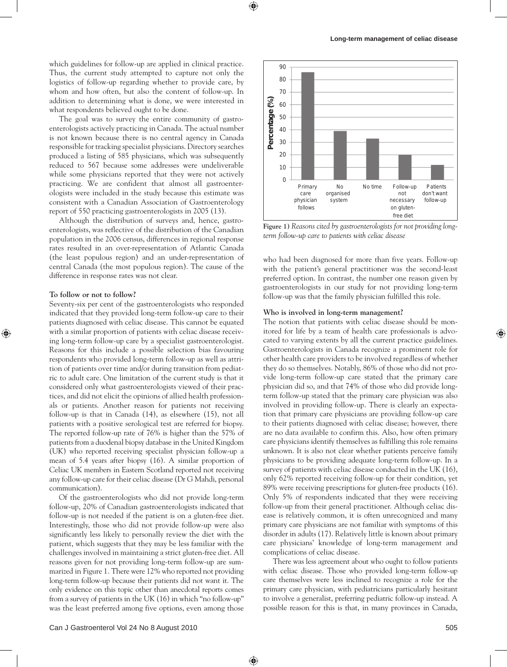which guidelines for follow-up are applied in clinical practice. Thus, the current study attempted to capture not only the logistics of follow-up regarding whether to provide care, by whom and how often, but also the content of follow-up. In addition to determining what is done, we were interested in what respondents believed ought to be done.

The goal was to survey the entire community of gastroenterologists actively practicing in Canada. The actual number is not known because there is no central agency in Canada responsible for tracking specialist physicians. Directory searches produced a listing of 585 physicians, which was subsequently reduced to 567 because some addresses were undeliverable while some physicians reported that they were not actively practicing. We are confident that almost all gastroenterologists were included in the study because this estimate was consistent with a Canadian Association of Gastroenterology report of 550 practicing gastroenterologists in 2005 (13).

Although the distribution of surveys and, hence, gastroenterologists, was reflective of the distribution of the Canadian population in the 2006 census, differences in regional response rates resulted in an over-representation of Atlantic Canada (the least populous region) and an under-representation of central Canada (the most populous region). The cause of the difference in response rates was not clear.

#### **to follow or not to follow?**

Seventy-six per cent of the gastroenterologists who responded indicated that they provided long-term follow-up care to their patients diagnosed with celiac disease. This cannot be equated with a similar proportion of patients with celiac disease receiving long-term follow-up care by a specialist gastroenterologist. Reasons for this include a possible selection bias favouring respondents who provided long-term follow-up as well as attrition of patients over time and/or during transition from pediatric to adult care. One limitation of the current study is that it considered only what gastroenterologists viewed of their practices, and did not elicit the opinions of allied health professionals or patients. Another reason for patients not receiving follow-up is that in Canada (14), as elsewhere (15), not all patients with a positive serological test are referred for biopsy. The reported follow-up rate of 76% is higher than the 57% of patients from a duodenal biopsy database in the United Kingdom (UK) who reported receiving specialist physician follow-up a mean of 5.4 years after biopsy (16). A similar proportion of Celiac UK members in Eastern Scotland reported not receiving any follow-up care for their celiac disease (Dr G Mahdi, personal communication).

Of the gastroenterologists who did not provide long-term follow-up, 20% of Canadian gastroenterologists indicated that follow-up is not needed if the patient is on a gluten-free diet. Interestingly, those who did not provide follow-up were also significantly less likely to personally review the diet with the patient, which suggests that they may be less familiar with the challenges involved in maintaining a strict gluten-free diet. All reasons given for not providing long-term follow-up are summarized in Figure 1. There were 12% who reported not providing long-term follow-up because their patients did not want it. The only evidence on this topic other than anecdotal reports comes from a survey of patients in the UK (16) in which "no follow-up" was the least preferred among five options, even among those



**Figure 1)** *Reasons cited by gastroenterologists for not providing longterm follow-up care to patients with celiac disease*

who had been diagnosed for more than five years. Follow-up with the patient's general practitioner was the second-least preferred option. In contrast, the number one reason given by gastroenterologists in our study for not providing long-term follow-up was that the family physician fulfilled this role.

#### **Who is involved in long-term management?**

The notion that patients with celiac disease should be monitored for life by a team of health care professionals is advocated to varying extents by all the current practice guidelines. Gastroenterologists in Canada recognize a prominent role for other health care providers to be involved regardless of whether they do so themselves. Notably, 86% of those who did not provide long-term follow-up care stated that the primary care physician did so, and that 74% of those who did provide longterm follow-up stated that the primary care physician was also involved in providing follow-up. There is clearly an expectation that primary care physicians are providing follow-up care to their patients diagnosed with celiac disease; however, there are no data available to confirm this. Also, how often primary care physicians identify themselves as fulfilling this role remains unknown. It is also not clear whether patients perceive family physicians to be providing adequate long-term follow-up. In a survey of patients with celiac disease conducted in the UK (16), only 62% reported receiving follow-up for their condition, yet 89% were receiving prescriptions for gluten-free products (16). Only 5% of respondents indicated that they were receiving follow-up from their general practitioner. Although celiac disease is relatively common, it is often unrecognized and many primary care physicians are not familiar with symptoms of this disorder in adults (17). Relatively little is known about primary care physicians' knowledge of long-term management and complications of celiac disease.

There was less agreement about who ought to follow patients with celiac disease. Those who provided long-term follow-up care themselves were less inclined to recognize a role for the primary care physician, with pediatricians particularly hesitant to involve a generalist, preferring pediatric follow-up instead. A possible reason for this is that, in many provinces in Canada,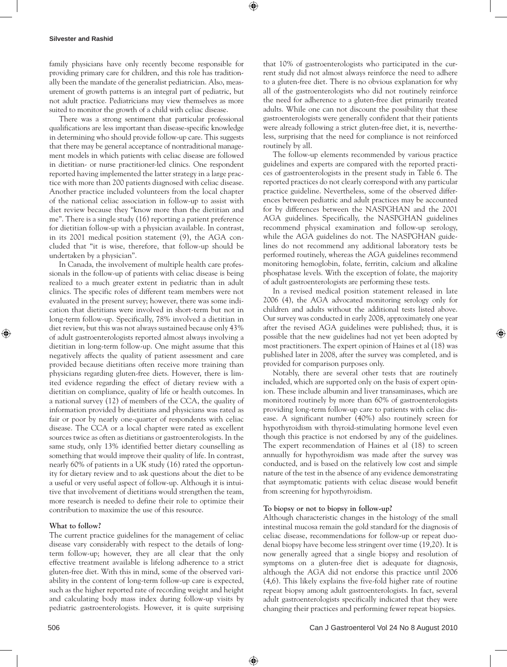#### **Silvester and Rashid**

family physicians have only recently become responsible for providing primary care for children, and this role has traditionally been the mandate of the generalist pediatrician. Also, measurement of growth patterns is an integral part of pediatric, but not adult practice. Pediatricians may view themselves as more suited to monitor the growth of a child with celiac disease.

There was a strong sentiment that particular professional qualifications are less important than disease-specific knowledge in determining who should provide follow-up care. This suggests that there may be general acceptance of nontraditional management models in which patients with celiac disease are followed in dietitian- or nurse practitioner-led clinics. One respondent reported having implemented the latter strategy in a large practice with more than 200 patients diagnosed with celiac disease. Another practice included volunteers from the local chapter of the national celiac association in follow-up to assist with diet review because they "know more than the dietitian and me". There is a single study (16) reporting a patient preference for dietitian follow-up with a physician available. In contrast, in its 2001 medical position statement (9), the AGA concluded that "it is wise, therefore, that follow-up should be undertaken by a physician".

In Canada, the involvement of multiple health care professionals in the follow-up of patients with celiac disease is being realized to a much greater extent in pediatric than in adult clinics. The specific roles of different team members were not evaluated in the present survey; however, there was some indication that dietitians were involved in short-term but not in long-term follow-up. Specifically, 78% involved a dietitian in diet review, but this was not always sustained because only 43% of adult gastroenterologists reported almost always involving a dietitian in long-term follow-up. One might assume that this negatively affects the quality of patient assessment and care provided because dietitians often receive more training than physicians regarding gluten-free diets. However, there is limited evidence regarding the effect of dietary review with a dietitian on compliance, quality of life or health outcomes. In a national survey (12) of members of the CCA, the quality of information provided by dietitians and physicians was rated as fair or poor by nearly one-quarter of respondents with celiac disease. The CCA or a local chapter were rated as excellent sources twice as often as dietitians or gastroenterologists. In the same study, only 13% identified better dietary counselling as something that would improve their quality of life. In contrast, nearly 60% of patients in a UK study (16) rated the opportunity for dietary review and to ask questions about the diet to be a useful or very useful aspect of follow-up. Although it is intuitive that involvement of dietitians would strengthen the team, more research is needed to define their role to optimize their contribution to maximize the use of this resource.

# **What to follow?**

The current practice guidelines for the management of celiac disease vary considerably with respect to the details of longterm follow-up; however, they are all clear that the only effective treatment available is lifelong adherence to a strict gluten-free diet. With this in mind, some of the observed variability in the content of long-term follow-up care is expected, such as the higher reported rate of recording weight and height and calculating body mass index during follow-up visits by pediatric gastroenterologists. However, it is quite surprising that 10% of gastroenterologists who participated in the current study did not almost always reinforce the need to adhere to a gluten-free diet. There is no obvious explanation for why all of the gastroenterologists who did not routinely reinforce the need for adherence to a gluten-free diet primarily treated adults. While one can not discount the possibility that these gastroenterologists were generally confident that their patients were already following a strict gluten-free diet, it is, nevertheless, surprising that the need for compliance is not reinforced routinely by all.

The follow-up elements recommended by various practice guidelines and experts are compared with the reported practices of gastroenterologists in the present study in Table 6. The reported practices do not clearly correspond with any particular practice guideline. Nevertheless, some of the observed differences between pediatric and adult practices may be accounted for by differences between the NASPGHAN and the 2001 AGA guidelines. Specifically, the NASPGHAN guidelines recommend physical examination and follow-up serology, while the AGA guidelines do not. The NASPGHAN guidelines do not recommend any additional laboratory tests be performed routinely, whereas the AGA guidelines recommend monitoring hemoglobin, folate, ferritin, calcium and alkaline phosphatase levels. With the exception of folate, the majority of adult gastroenterologists are performing these tests.

In a revised medical position statement released in late 2006 (4), the AGA advocated monitoring serology only for children and adults without the additional tests listed above. Our survey was conducted in early 2008, approximately one year after the revised AGA guidelines were published; thus, it is possible that the new guidelines had not yet been adopted by most practitioners. The expert opinion of Haines et al (18) was published later in 2008, after the survey was completed, and is provided for comparison purposes only.

Notably, there are several other tests that are routinely included, which are supported only on the basis of expert opinion. These include albumin and liver transaminases, which are monitored routinely by more than 60% of gastroenterologists providing long-term follow-up care to patients with celiac disease. A significant number (40%) also routinely screen for hypothyroidism with thyroid-stimulating hormone level even though this practice is not endorsed by any of the guidelines. The expert recommendation of Haines et al (18) to screen annually for hypothyroidism was made after the survey was conducted, and is based on the relatively low cost and simple nature of the test in the absence of any evidence demonstrating that asymptomatic patients with celiac disease would benefit from screening for hypothyroidism.

# **to biopsy or not to biopsy in follow-up?**

Although characteristic changes in the histology of the small intestinal mucosa remain the gold standard for the diagnosis of celiac disease, recommendations for follow-up or repeat duodenal biopsy have become less stringent over time (19,20). It is now generally agreed that a single biopsy and resolution of symptoms on a gluten-free diet is adequate for diagnosis, although the AGA did not endorse this practice until 2006 (4,6). This likely explains the five-fold higher rate of routine repeat biopsy among adult gastroenterologists. In fact, several adult gastroenterologists specifically indicated that they were changing their practices and performing fewer repeat biopsies.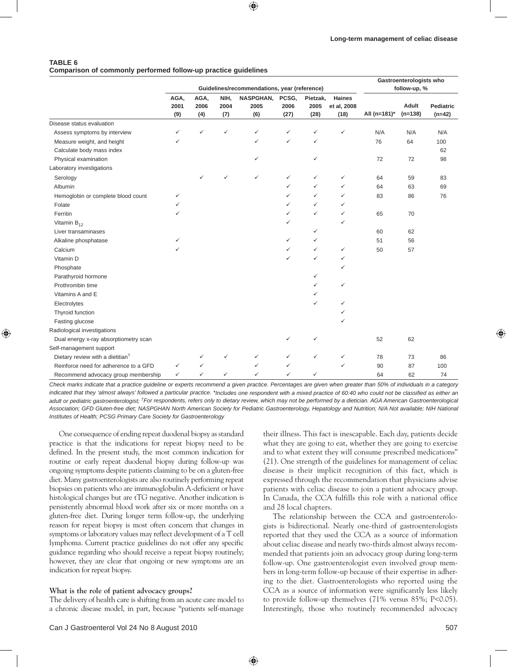### **TABLE 6 Comparison of commonly performed follow-up practice guidelines**

|                                              |                                              |                     |                     |                                 |                       |                          | Gastroenterologists who              |              |                    |                              |  |
|----------------------------------------------|----------------------------------------------|---------------------|---------------------|---------------------------------|-----------------------|--------------------------|--------------------------------------|--------------|--------------------|------------------------------|--|
|                                              | Guidelines/recommendations, year (reference) |                     |                     |                                 |                       |                          |                                      |              | follow-up, %       |                              |  |
|                                              | AGA,<br>2001<br>(9)                          | AGA,<br>2006<br>(4) | NIH,<br>2004<br>(7) | <b>NASPGHAN,</b><br>2005<br>(6) | PCSG,<br>2006<br>(27) | Pietzak,<br>2005<br>(28) | <b>Haines</b><br>et al, 2008<br>(18) | All (n=181)* | Adult<br>$(n=138)$ | <b>Pediatric</b><br>$(n=42)$ |  |
| Disease status evaluation                    |                                              |                     |                     |                                 |                       |                          |                                      |              |                    |                              |  |
| Assess symptoms by interview                 | ✓                                            | ✓                   | ✓                   | $\checkmark$                    | $\checkmark$          | ✓                        | ✓                                    | N/A          | N/A                | N/A                          |  |
| Measure weight, and height                   | ✓                                            |                     |                     | $\checkmark$                    | $\checkmark$          | $\checkmark$             |                                      | 76           | 64                 | 100                          |  |
| Calculate body mass index                    |                                              |                     |                     |                                 |                       |                          |                                      |              |                    | 62                           |  |
| Physical examination                         |                                              |                     |                     | $\checkmark$                    |                       | ✓                        |                                      | 72           | 72                 | 98                           |  |
| Laboratory investigations                    |                                              |                     |                     |                                 |                       |                          |                                      |              |                    |                              |  |
| Serology                                     |                                              | ✓                   | ✓                   | $\checkmark$                    | $\checkmark$          | $\checkmark$             | ✓                                    | 64           | 59                 | 83                           |  |
| Albumin                                      |                                              |                     |                     |                                 | $\checkmark$          | $\checkmark$             | ✓                                    | 64           | 63                 | 69                           |  |
| Hemoglobin or complete blood count           | $\checkmark$                                 |                     |                     |                                 | $\checkmark$          | $\checkmark$             | ✓                                    | 83           | 86                 | 76                           |  |
| Folate                                       | ✓                                            |                     |                     |                                 | ✓                     | $\checkmark$             | ✓                                    |              |                    |                              |  |
| Ferritin                                     | ✓                                            |                     |                     |                                 | ✓                     | $\checkmark$             | ✓                                    | 65           | 70                 |                              |  |
| Vitamin $B_{12}$                             |                                              |                     |                     |                                 | ✓                     |                          | ✓                                    |              |                    |                              |  |
| Liver transaminases                          |                                              |                     |                     |                                 |                       | $\checkmark$             |                                      | 60           | 62                 |                              |  |
| Alkaline phosphatase                         | ✓                                            |                     |                     |                                 | $\checkmark$          | $\checkmark$             |                                      | 51           | 56                 |                              |  |
| Calcium                                      | ✓                                            |                     |                     |                                 | ✓                     | $\checkmark$             | ✓                                    | 50           | 57                 |                              |  |
| Vitamin D                                    |                                              |                     |                     |                                 | $\checkmark$          | $\checkmark$             | $\checkmark$                         |              |                    |                              |  |
| Phosphate                                    |                                              |                     |                     |                                 |                       |                          | ✓                                    |              |                    |                              |  |
| Parathyroid hormone                          |                                              |                     |                     |                                 |                       | ✓                        |                                      |              |                    |                              |  |
| Prothrombin time                             |                                              |                     |                     |                                 |                       | $\checkmark$             | ✓                                    |              |                    |                              |  |
| Vitamins A and E                             |                                              |                     |                     |                                 |                       | $\checkmark$             |                                      |              |                    |                              |  |
| Electrolytes                                 |                                              |                     |                     |                                 |                       | $\checkmark$             |                                      |              |                    |                              |  |
| Thyroid function                             |                                              |                     |                     |                                 |                       |                          |                                      |              |                    |                              |  |
| Fasting glucose                              |                                              |                     |                     |                                 |                       |                          | ✓                                    |              |                    |                              |  |
| Radiological investigations                  |                                              |                     |                     |                                 |                       |                          |                                      |              |                    |                              |  |
| Dual energy x-ray absorptiometry scan        |                                              |                     |                     |                                 | $\checkmark$          | ✓                        |                                      | 52           | 62                 |                              |  |
| Self-management support                      |                                              |                     |                     |                                 |                       |                          |                                      |              |                    |                              |  |
| Dietary review with a dietitian <sup>†</sup> |                                              | ✓                   | ✓                   | ✓                               | ✓                     | $\checkmark$             | ✓                                    | 78           | 73                 | 86                           |  |
| Reinforce need for adherence to a GFD        | ✓                                            | ✓                   |                     | ✓                               | ✓                     |                          | ✓                                    | 90           | 87                 | 100                          |  |
| Recommend advocacy group membership          | $\checkmark$                                 | ✓                   | ✓                   | $\checkmark$                    | $\checkmark$          | ✓                        |                                      | 64           | 62                 | 74                           |  |

*Check marks indicate that a practice guideline or experts recommend a given practice. Percentages are given when greater than 50% of individuals in a category*  indicated that they 'almost always' followed a particular practice. \*Includes one respondent with a mixed practice of 60:40 who could not be classified as either an *adult or pediatric gastroenterologist; †For respondents, refers only to dietary review, which may not be performed by a dietician. AGA American Gastroenterological Association; GFD Gluten-free diet; NASPGHAN North American Society for Pediatric Gastroenterology, Hepatology and Nutrition; N/A Not available; NIH National Institutes of Health; PCSG Primary Care Society for Gastroenterology* 

One consequence of ending repeat duodenal biopsy as standard practice is that the indications for repeat biopsy need to be defined. In the present study, the most common indication for routine or early repeat duodenal biopsy during follow-up was ongoing symptoms despite patients claiming to be on a gluten-free diet. Many gastroenterologists are also routinely performing repeat biopsies on patients who are immunoglobulin A-deficient or have histological changes but are tTG negative. Another indication is persistently abnormal blood work after six or more months on a gluten-free diet. During longer term follow-up, the underlying reason for repeat biopsy is most often concern that changes in symptoms or laboratory values may reflect development of a T cell lymphoma. Current practice guidelines do not offer any specific guidance regarding who should receive a repeat biopsy routinely; however, they are clear that ongoing or new symptoms are an indication for repeat biopsy.

# **What is the role of patient advocacy groups?**

The delivery of health care is shifting from an acute care model to a chronic disease model, in part, because "patients self-manage

their illness. This fact is inescapable. Each day, patients decide what they are going to eat, whether they are going to exercise and to what extent they will consume prescribed medications" (21). One strength of the guidelines for management of celiac disease is their implicit recognition of this fact, which is expressed through the recommendation that physicians advise patients with celiac disease to join a patient advocacy group. In Canada, the CCA fulfills this role with a national office and 28 local chapters.

The relationship between the CCA and gastroenterologists is bidirectional. Nearly one-third of gastroenterologists reported that they used the CCA as a source of information about celiac disease and nearly two-thirds almost always recommended that patients join an advocacy group during long-term follow-up. One gastroenterologist even involved group members in long-term follow-up because of their expertise in adhering to the diet. Gastroenterologists who reported using the CCA as a source of information were significantly less likely to provide follow-up themselves (71% versus 85%; P<0.05). Interestingly, those who routinely recommended advocacy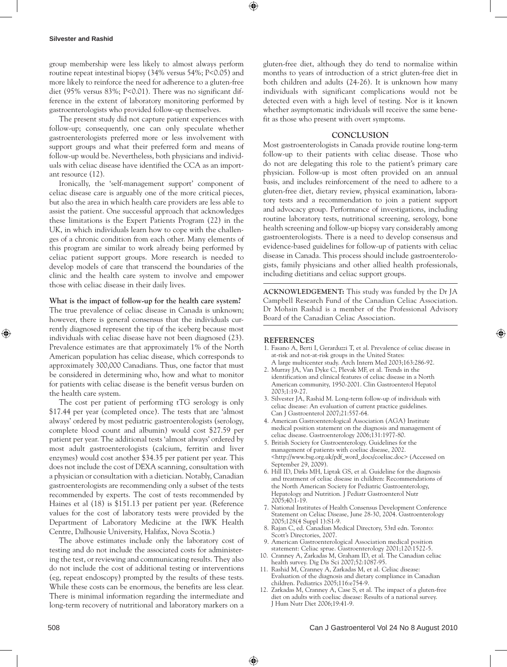#### **Silvester and Rashid**

group membership were less likely to almost always perform routine repeat intestinal biopsy (34% versus 54%; P<0.05) and more likely to reinforce the need for adherence to a gluten-free diet (95% versus 83%; P<0.01). There was no significant difference in the extent of laboratory monitoring performed by gastroenterologists who provided follow-up themselves.

The present study did not capture patient experiences with follow-up; consequently, one can only speculate whether gastroenterologists preferred more or less involvement with support groups and what their preferred form and means of follow-up would be. Nevertheless, both physicians and individuals with celiac disease have identified the CCA as an important resource (12).

Ironically, the 'self-management support' component of celiac disease care is arguably one of the more critical pieces, but also the area in which health care providers are less able to assist the patient. One successful approach that acknowledges these limitations is the Expert Patients Program (22) in the UK, in which individuals learn how to cope with the challenges of a chronic condition from each other. Many elements of this program are similar to work already being performed by celiac patient support groups. More research is needed to develop models of care that transcend the boundaries of the clinic and the health care system to involve and empower those with celiac disease in their daily lives.

**What is the impact of follow-up for the health care system?**

The true prevalence of celiac disease in Canada is unknown; however, there is general consensus that the individuals currently diagnosed represent the tip of the iceberg because most individuals with celiac disease have not been diagnosed (23). Prevalence estimates are that approximately 1% of the North American population has celiac disease, which corresponds to approximately 300,000 Canadians. Thus, one factor that must be considered in determining who, how and what to monitor for patients with celiac disease is the benefit versus burden on the health care system.

The cost per patient of performing tTG serology is only \$17.44 per year (completed once). The tests that are 'almost always' ordered by most pediatric gastroenterologists (serology, complete blood count and albumin) would cost \$27.59 per patient per year. The additional tests 'almost always' ordered by most adult gastroenterologists (calcium, ferritin and liver enzymes) would cost another \$34.35 per patient per year. This does not include the cost of DEXA scanning, consultation with a physician or consultation with a dietician. Notably, Canadian gastroenterologists are recommending only a subset of the tests recommended by experts. The cost of tests recommended by Haines et al (18) is \$151.13 per patient per year. (Reference values for the cost of laboratory tests were provided by the Department of Laboratory Medicine at the IWK Health Centre, Dalhousie University, Halifax, Nova Scotia.)

The above estimates include only the laboratory cost of testing and do not include the associated costs for administering the test, or reviewing and communicating results. They also do not include the cost of additional testing or interventions (eg, repeat endoscopy) prompted by the results of these tests. While these costs can be enormous, the benefits are less clear. There is minimal information regarding the intermediate and long-term recovery of nutritional and laboratory markers on a

gluten-free diet, although they do tend to normalize within months to years of introduction of a strict gluten-free diet in both children and adults (24-26). It is unknown how many individuals with significant complications would not be detected even with a high level of testing. Nor is it known whether asymptomatic individuals will receive the same benefit as those who present with overt symptoms.

#### **ConCLuSion**

Most gastroenterologists in Canada provide routine long-term follow-up to their patients with celiac disease. Those who do not are delegating this role to the patient's primary care physician. Follow-up is most often provided on an annual basis, and includes reinforcement of the need to adhere to a gluten-free diet, dietary review, physical examination, laboratory tests and a recommendation to join a patient support and advocacy group. Performance of investigations, including routine laboratory tests, nutritional screening, serology, bone health screening and follow-up biopsy vary considerably among gastroenterologists. There is a need to develop consensus and evidence-based guidelines for follow-up of patients with celiac disease in Canada. This process should include gastroenterologists, family physicians and other allied health professionals, including dietitians and celiac support groups.

ACKNOWLEDGEMENT: This study was funded by the Dr JA Campbell Research Fund of the Canadian Celiac Association. Dr Mohsin Rashid is a member of the Professional Advisory Board of the Canadian Celiac Association.

# **ReFeRenCeS**

- 1. Fasano A, Berti I, Gerarduzzi T, et al. Prevalence of celiac disease in at-risk and not-at-risk groups in the United States: A large multicenter study. Arch Intern Med 2003;163:286-92.
- 2. Murray JA, Van Dyke C, Plevak MF, et al. Trends in the identification and clinical features of celiac disease in a North American community, 1950-2001. Clin Gastroenterol Hepatol 2003;1:19-27.
- 3. Silvester JA, Rashid M. Long-term follow-up of individuals with celiac disease: An evaluation of current practice guidelines. Can J Gastroenterol 2007;21:557-64.
- 4. American Gastroenterological Association (AGA) Institute medical position statement on the diagnosis and management of celiac disease. Gastroenterology 2006;131:1977-80.
- 5. British Society for Gastroenterology. Guidelines for the management of patients with coeliac disease, 2002. <http://www.bsg.org.uk/pdf\_word\_docs/coeliac.doc> (Accessed on September 29, 2009).
- 6. Hill ID, Dirks MH, Liptak GS, et al. Guideline for the diagnosis and treatment of celiac disease in children: Recommendations of the North American Society for Pediatric Gastroenterology, Hepatology and Nutrition. J Pediatr Gastroenterol Nutr 2005;40:1-19.
- 7. National Institutes of Health Consensus Development Conference Statement on Celiac Disease, June 28-30, 2004. Gastroenterology 2005;128(4 Suppl 1):S1-9.
- 8. Rajan C, ed. Canadian Medical Directory, 53rd edn. Toronto: Scott's Directories, 2007.
- 9. American Gastroenterological Association medical position statement: Celiac sprue. Gastroenterology 2001;120:1522-5.
- 10. Cranney A, Zarkadas M, Graham ID, et al. The Canadian celiac health survey. Dig Dis Sci 2007;52:1087-95.
- 11. Rashid M, Cranney A, Zarkadas M, et al. Celiac disease: Evaluation of the diagnosis and dietary compliance in Canadian children. Pediatrics 2005;116:e754-9.
- 12. Zarkadas M, Cranney A, Case S, et al. The impact of a gluten-free diet on adults with coeliac disease: Results of a national survey. J Hum Nutr Diet 2006;19:41-9.